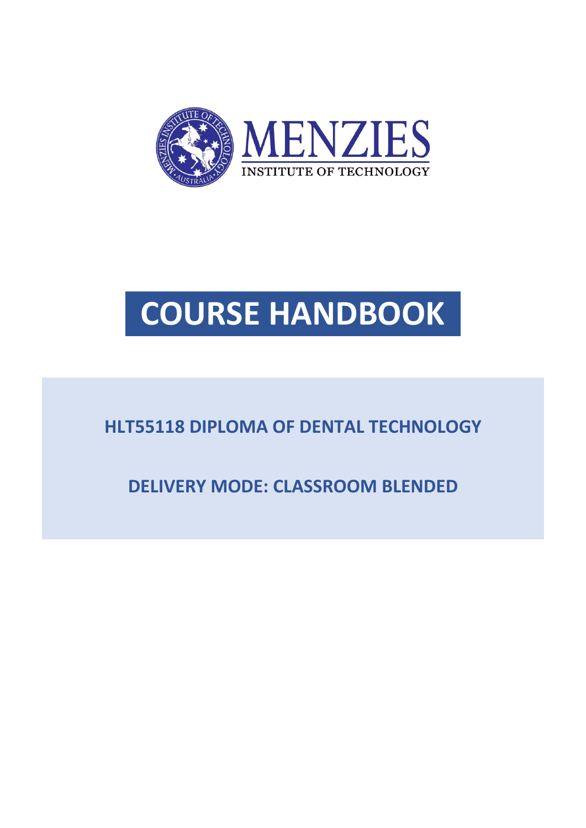

# **COURSE HANDBOOK**

### **HLT55118 DIPLOMA OF DENTAL TECHNOLOGY**

**DELIVERY MODE: CLASSROOM BLENDED**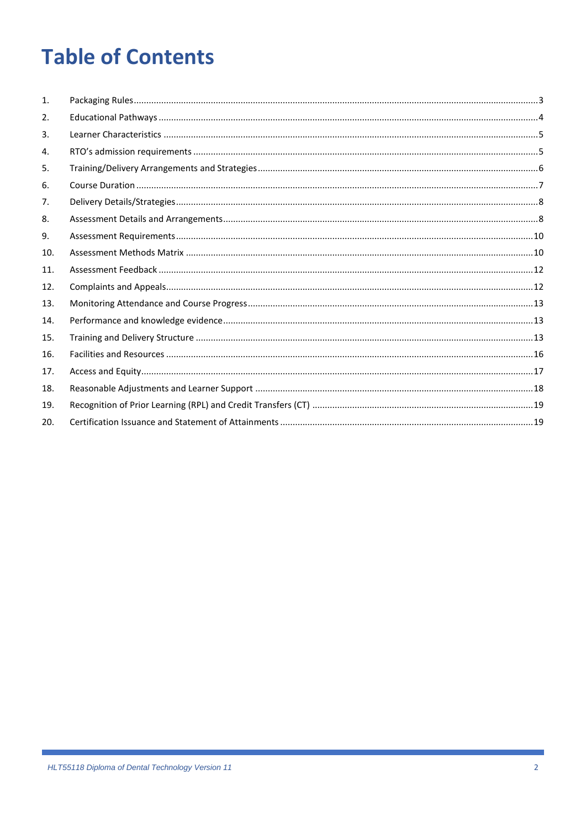## **Table of Contents**

| 1.  |  |
|-----|--|
| 2.  |  |
| 3.  |  |
| 4.  |  |
| 5.  |  |
| 6.  |  |
| 7.  |  |
| 8.  |  |
| 9.  |  |
| 10. |  |
| 11. |  |
| 12. |  |
| 13. |  |
| 14. |  |
| 15. |  |
| 16. |  |
| 17. |  |
| 18. |  |
| 19. |  |
| 20. |  |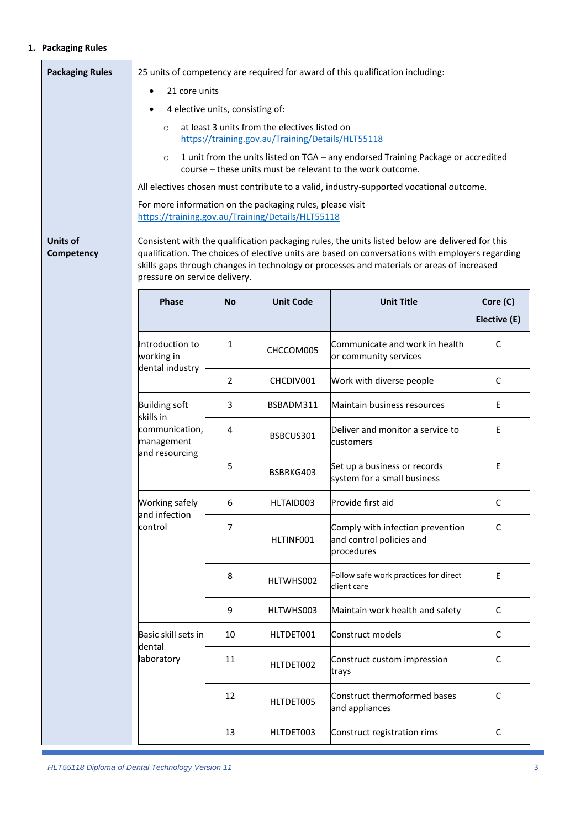#### <span id="page-2-0"></span>**1. Packaging Rules**

| <b>Packaging Rules</b> | 25 units of competency are required for award of this qualification including:                                                                                                                                                                                                                                                      |                |                  |                                                                                                                                                 |                          |  |  |
|------------------------|-------------------------------------------------------------------------------------------------------------------------------------------------------------------------------------------------------------------------------------------------------------------------------------------------------------------------------------|----------------|------------------|-------------------------------------------------------------------------------------------------------------------------------------------------|--------------------------|--|--|
|                        | 21 core units                                                                                                                                                                                                                                                                                                                       |                |                  |                                                                                                                                                 |                          |  |  |
|                        | 4 elective units, consisting of:<br>at least 3 units from the electives listed on                                                                                                                                                                                                                                                   |                |                  |                                                                                                                                                 |                          |  |  |
|                        | $\circ$<br>https://training.gov.au/Training/Details/HLT55118                                                                                                                                                                                                                                                                        |                |                  |                                                                                                                                                 |                          |  |  |
|                        | $\circ$                                                                                                                                                                                                                                                                                                                             |                |                  | 1 unit from the units listed on TGA - any endorsed Training Package or accredited<br>course - these units must be relevant to the work outcome. |                          |  |  |
|                        |                                                                                                                                                                                                                                                                                                                                     |                |                  | All electives chosen must contribute to a valid, industry-supported vocational outcome.                                                         |                          |  |  |
|                        | For more information on the packaging rules, please visit<br>https://training.gov.au/Training/Details/HLT55118                                                                                                                                                                                                                      |                |                  |                                                                                                                                                 |                          |  |  |
| Units of<br>Competency | Consistent with the qualification packaging rules, the units listed below are delivered for this<br>qualification. The choices of elective units are based on conversations with employers regarding<br>skills gaps through changes in technology or processes and materials or areas of increased<br>pressure on service delivery. |                |                  |                                                                                                                                                 |                          |  |  |
|                        | <b>Phase</b>                                                                                                                                                                                                                                                                                                                        | <b>No</b>      | <b>Unit Code</b> | <b>Unit Title</b>                                                                                                                               | Core (C)<br>Elective (E) |  |  |
|                        | Introduction to<br>working in<br>dental industry                                                                                                                                                                                                                                                                                    | $\mathbf{1}$   | CHCCOM005        | Communicate and work in health<br>or community services                                                                                         | C                        |  |  |
|                        |                                                                                                                                                                                                                                                                                                                                     | $\overline{2}$ | CHCDIV001        | Work with diverse people                                                                                                                        | C                        |  |  |
|                        | <b>Building soft</b><br>skills in<br>communication,<br>management<br>and resourcing                                                                                                                                                                                                                                                 | 3              | BSBADM311        | Maintain business resources                                                                                                                     | E                        |  |  |
|                        |                                                                                                                                                                                                                                                                                                                                     | 4              | BSBCUS301        | Deliver and monitor a service to<br>customers                                                                                                   | E                        |  |  |
|                        |                                                                                                                                                                                                                                                                                                                                     | 5              | BSBRKG403        | Set up a business or records<br>system for a small business                                                                                     | E                        |  |  |
|                        | Working safely<br>and infection                                                                                                                                                                                                                                                                                                     | 6              | HLTAID003        | Provide first aid                                                                                                                               | С                        |  |  |
|                        | control                                                                                                                                                                                                                                                                                                                             | 7              | HLTINF001        | Comply with infection prevention<br>and control policies and<br>procedures                                                                      | C                        |  |  |
|                        |                                                                                                                                                                                                                                                                                                                                     | 8              | HLTWHS002        | Follow safe work practices for direct<br>client care                                                                                            | E                        |  |  |
|                        |                                                                                                                                                                                                                                                                                                                                     | 9              | HLTWHS003        | Maintain work health and safety                                                                                                                 | $\mathsf C$              |  |  |
|                        | Basic skill sets in<br>dental<br>laboratory                                                                                                                                                                                                                                                                                         | 10             | HLTDET001        | Construct models                                                                                                                                | C                        |  |  |
|                        |                                                                                                                                                                                                                                                                                                                                     | 11             | HLTDET002        | Construct custom impression<br>trays                                                                                                            | C                        |  |  |
|                        |                                                                                                                                                                                                                                                                                                                                     | 12             | HLTDET005        | Construct thermoformed bases<br>and appliances                                                                                                  | $\mathsf C$              |  |  |
|                        |                                                                                                                                                                                                                                                                                                                                     | 13             | HLTDET003        | Construct registration rims                                                                                                                     | C                        |  |  |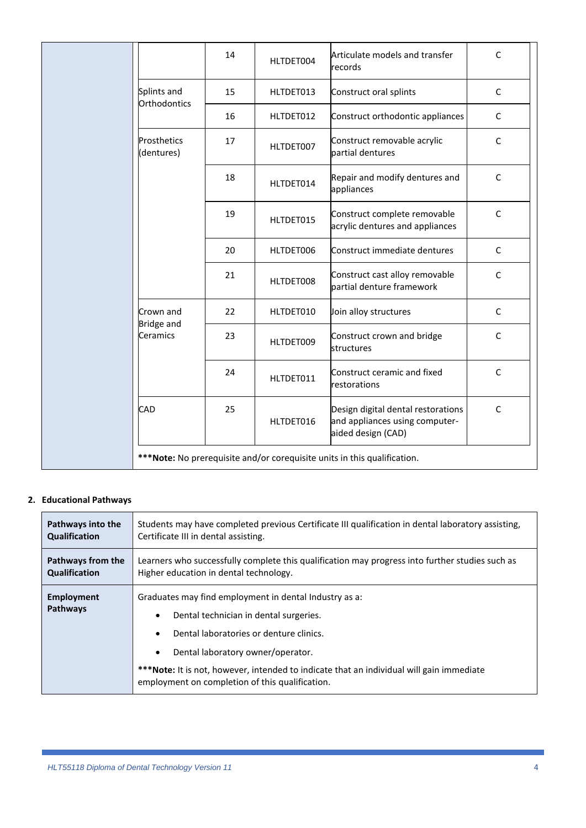|  |                                | 14 | HLTDET004 | Articulate models and transfer<br>records                                                  | C            |
|--|--------------------------------|----|-----------|--------------------------------------------------------------------------------------------|--------------|
|  | Splints and<br>Orthodontics    | 15 | HLTDET013 | Construct oral splints                                                                     | $\mathsf C$  |
|  |                                | 16 | HLTDET012 | Construct orthodontic appliances                                                           | C            |
|  | Prosthetics<br>(dentures)      | 17 | HLTDET007 | Construct removable acrylic<br>partial dentures                                            | C            |
|  |                                | 18 | HLTDET014 | Repair and modify dentures and<br>appliances                                               | C            |
|  |                                | 19 | HLTDET015 | Construct complete removable<br>acrylic dentures and appliances                            | $\mathsf{C}$ |
|  |                                | 20 | HLTDET006 | Construct immediate dentures                                                               | C            |
|  |                                | 21 | HLTDET008 | Construct cast alloy removable<br>partial denture framework                                | C            |
|  | Crown and<br><b>Bridge and</b> | 22 | HLTDET010 | Join alloy structures                                                                      | $\mathsf{C}$ |
|  | Ceramics                       | 23 | HLTDET009 | Construct crown and bridge<br><b>structures</b>                                            | C            |
|  |                                | 24 | HLTDET011 | Construct ceramic and fixed<br>restorations                                                | C            |
|  | CAD                            | 25 | HLTDET016 | Design digital dental restorations<br>and appliances using computer-<br>aided design (CAD) | $\mathsf{C}$ |
|  |                                |    |           | *** Note: No prerequisite and/or corequisite units in this qualification.                  |              |

#### <span id="page-3-0"></span>**2. Educational Pathways**

| Pathways into the      | Students may have completed previous Certificate III qualification in dental laboratory assisting,                                                                                                                                                                                                                                                                     |  |  |  |  |
|------------------------|------------------------------------------------------------------------------------------------------------------------------------------------------------------------------------------------------------------------------------------------------------------------------------------------------------------------------------------------------------------------|--|--|--|--|
| Qualification          | Certificate III in dental assisting.                                                                                                                                                                                                                                                                                                                                   |  |  |  |  |
| Pathways from the      | Learners who successfully complete this qualification may progress into further studies such as                                                                                                                                                                                                                                                                        |  |  |  |  |
| Qualification          | Higher education in dental technology.                                                                                                                                                                                                                                                                                                                                 |  |  |  |  |
| Employment<br>Pathways | Graduates may find employment in dental Industry as a:<br>Dental technician in dental surgeries.<br>$\bullet$<br>Dental laboratories or denture clinics.<br>$\bullet$<br>Dental laboratory owner/operator.<br>$\bullet$<br>***Note: It is not, however, intended to indicate that an individual will gain immediate<br>employment on completion of this qualification. |  |  |  |  |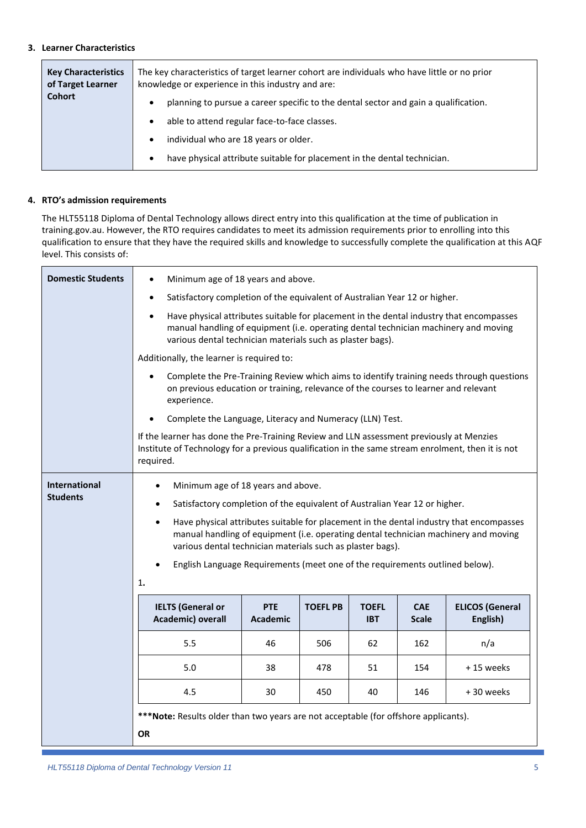#### <span id="page-4-0"></span>**3. Learner Characteristics**

| <b>Key Characteristics</b><br>of Target Learner | The key characteristics of target learner cohort are individuals who have little or no prior<br>knowledge or experience in this industry and are:             |  |  |  |  |
|-------------------------------------------------|---------------------------------------------------------------------------------------------------------------------------------------------------------------|--|--|--|--|
| <b>Cohort</b>                                   | planning to pursue a career specific to the dental sector and gain a qualification.<br>$\bullet$<br>able to attend regular face-to-face classes.<br>$\bullet$ |  |  |  |  |
|                                                 | individual who are 18 years or older.<br>$\bullet$<br>have physical attribute suitable for placement in the dental technician.<br>$\bullet$                   |  |  |  |  |

#### <span id="page-4-1"></span>**4. RTO's admission requirements**

The HLT55118 Diploma of Dental Technology allows direct entry into this qualification at the time of publication in training.gov.au. However, the RTO requires candidates to meet its admission requirements prior to enrolling into this qualification to ensure that they have the required skills and knowledge to successfully complete the qualification at this AQF level. This consists of:

| <b>Domestic Students</b>                | Minimum age of 18 years and above.<br>٠                                                                                                                                                                                                                                                        |                               |                 |                            |                            |                                                                                                                                                                                |  |
|-----------------------------------------|------------------------------------------------------------------------------------------------------------------------------------------------------------------------------------------------------------------------------------------------------------------------------------------------|-------------------------------|-----------------|----------------------------|----------------------------|--------------------------------------------------------------------------------------------------------------------------------------------------------------------------------|--|
|                                         | Satisfactory completion of the equivalent of Australian Year 12 or higher.<br>$\bullet$                                                                                                                                                                                                        |                               |                 |                            |                            |                                                                                                                                                                                |  |
|                                         | Have physical attributes suitable for placement in the dental industry that encompasses<br>manual handling of equipment (i.e. operating dental technician machinery and moving<br>various dental technician materials such as plaster bags).                                                   |                               |                 |                            |                            |                                                                                                                                                                                |  |
|                                         | Additionally, the learner is required to:                                                                                                                                                                                                                                                      |                               |                 |                            |                            |                                                                                                                                                                                |  |
|                                         | Complete the Pre-Training Review which aims to identify training needs through questions<br>on previous education or training, relevance of the courses to learner and relevant<br>experience.                                                                                                 |                               |                 |                            |                            |                                                                                                                                                                                |  |
|                                         | Complete the Language, Literacy and Numeracy (LLN) Test.                                                                                                                                                                                                                                       |                               |                 |                            |                            |                                                                                                                                                                                |  |
|                                         | If the learner has done the Pre-Training Review and LLN assessment previously at Menzies<br>Institute of Technology for a previous qualification in the same stream enrolment, then it is not<br>required.                                                                                     |                               |                 |                            |                            |                                                                                                                                                                                |  |
| <b>International</b><br><b>Students</b> | Minimum age of 18 years and above.<br>Satisfactory completion of the equivalent of Australian Year 12 or higher.<br>$\bullet$<br>$\bullet$<br>various dental technician materials such as plaster bags).<br>English Language Requirements (meet one of the requirements outlined below).<br>1. |                               |                 |                            |                            | Have physical attributes suitable for placement in the dental industry that encompasses<br>manual handling of equipment (i.e. operating dental technician machinery and moving |  |
|                                         | <b>IELTS (General or</b><br>Academic) overall                                                                                                                                                                                                                                                  | <b>PTE</b><br><b>Academic</b> | <b>TOEFL PB</b> | <b>TOEFL</b><br><b>IBT</b> | <b>CAE</b><br><b>Scale</b> | <b>ELICOS (General</b><br>English)                                                                                                                                             |  |
|                                         | 5.5                                                                                                                                                                                                                                                                                            | 46                            | 506             | 62                         | 162                        | n/a                                                                                                                                                                            |  |
|                                         | 5.0                                                                                                                                                                                                                                                                                            | 38                            | 478             | 51                         | 154                        | +15 weeks                                                                                                                                                                      |  |
|                                         | 4.5                                                                                                                                                                                                                                                                                            | 30                            | 450             | 40                         | 146                        | +30 weeks                                                                                                                                                                      |  |
|                                         | ***Note: Results older than two years are not acceptable (for offshore applicants).<br>OR                                                                                                                                                                                                      |                               |                 |                            |                            |                                                                                                                                                                                |  |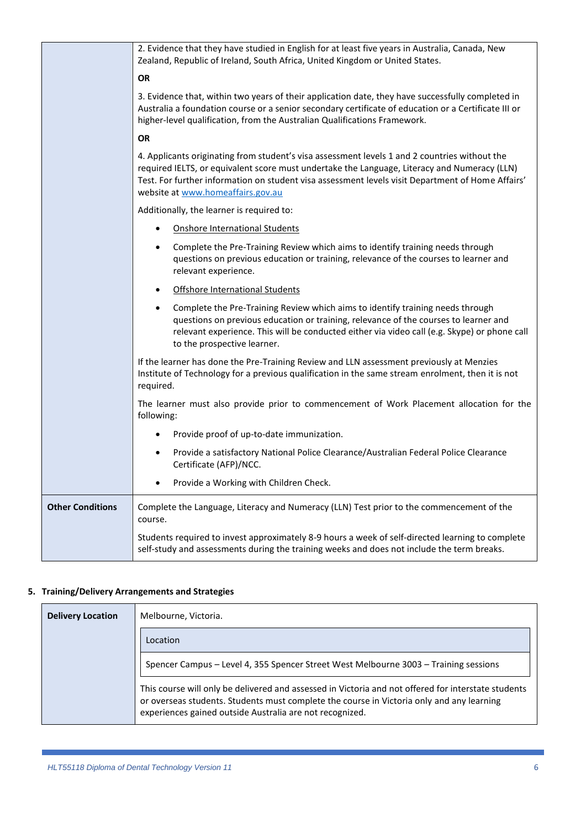|                         | 2. Evidence that they have studied in English for at least five years in Australia, Canada, New<br>Zealand, Republic of Ireland, South Africa, United Kingdom or United States.                                                                                                                                                         |
|-------------------------|-----------------------------------------------------------------------------------------------------------------------------------------------------------------------------------------------------------------------------------------------------------------------------------------------------------------------------------------|
|                         | <b>OR</b>                                                                                                                                                                                                                                                                                                                               |
|                         | 3. Evidence that, within two years of their application date, they have successfully completed in<br>Australia a foundation course or a senior secondary certificate of education or a Certificate III or<br>higher-level qualification, from the Australian Qualifications Framework.                                                  |
|                         | <b>OR</b>                                                                                                                                                                                                                                                                                                                               |
|                         | 4. Applicants originating from student's visa assessment levels 1 and 2 countries without the<br>required IELTS, or equivalent score must undertake the Language, Literacy and Numeracy (LLN)<br>Test. For further information on student visa assessment levels visit Department of Home Affairs'<br>website at www.homeaffairs.gov.au |
|                         | Additionally, the learner is required to:                                                                                                                                                                                                                                                                                               |
|                         | <b>Onshore International Students</b><br>$\bullet$                                                                                                                                                                                                                                                                                      |
|                         | Complete the Pre-Training Review which aims to identify training needs through<br>questions on previous education or training, relevance of the courses to learner and<br>relevant experience.                                                                                                                                          |
|                         | Offshore International Students<br>$\bullet$                                                                                                                                                                                                                                                                                            |
|                         | Complete the Pre-Training Review which aims to identify training needs through<br>questions on previous education or training, relevance of the courses to learner and<br>relevant experience. This will be conducted either via video call (e.g. Skype) or phone call<br>to the prospective learner.                                   |
|                         | If the learner has done the Pre-Training Review and LLN assessment previously at Menzies<br>Institute of Technology for a previous qualification in the same stream enrolment, then it is not<br>required.                                                                                                                              |
|                         | The learner must also provide prior to commencement of Work Placement allocation for the<br>following:                                                                                                                                                                                                                                  |
|                         | Provide proof of up-to-date immunization.<br>$\bullet$                                                                                                                                                                                                                                                                                  |
|                         | Provide a satisfactory National Police Clearance/Australian Federal Police Clearance<br>$\bullet$<br>Certificate (AFP)/NCC.                                                                                                                                                                                                             |
|                         | Provide a Working with Children Check.<br>$\bullet$                                                                                                                                                                                                                                                                                     |
| <b>Other Conditions</b> | Complete the Language, Literacy and Numeracy (LLN) Test prior to the commencement of the<br>course.                                                                                                                                                                                                                                     |
|                         | Students required to invest approximately 8-9 hours a week of self-directed learning to complete<br>self-study and assessments during the training weeks and does not include the term breaks.                                                                                                                                          |

#### <span id="page-5-0"></span>**5. Training/Delivery Arrangements and Strategies**

| <b>Delivery Location</b> | Melbourne, Victoria.                                                                                                                                                                                                                                         |  |  |
|--------------------------|--------------------------------------------------------------------------------------------------------------------------------------------------------------------------------------------------------------------------------------------------------------|--|--|
|                          | Location                                                                                                                                                                                                                                                     |  |  |
|                          | Spencer Campus - Level 4, 355 Spencer Street West Melbourne 3003 - Training sessions                                                                                                                                                                         |  |  |
|                          | This course will only be delivered and assessed in Victoria and not offered for interstate students<br>or overseas students. Students must complete the course in Victoria only and any learning<br>experiences gained outside Australia are not recognized. |  |  |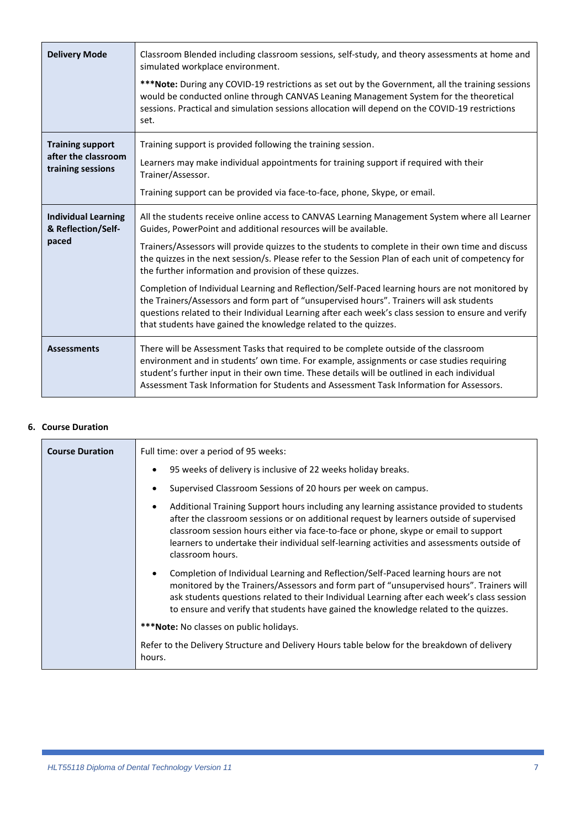| <b>Delivery Mode</b>                                                | Classroom Blended including classroom sessions, self-study, and theory assessments at home and<br>simulated workplace environment.<br>***Note: During any COVID-19 restrictions as set out by the Government, all the training sessions<br>would be conducted online through CANVAS Leaning Management System for the theoretical<br>sessions. Practical and simulation sessions allocation will depend on the COVID-19 restrictions<br>set.                                                                                                                                                                                                                                                                                                                                                                   |
|---------------------------------------------------------------------|----------------------------------------------------------------------------------------------------------------------------------------------------------------------------------------------------------------------------------------------------------------------------------------------------------------------------------------------------------------------------------------------------------------------------------------------------------------------------------------------------------------------------------------------------------------------------------------------------------------------------------------------------------------------------------------------------------------------------------------------------------------------------------------------------------------|
| <b>Training support</b><br>after the classroom<br>training sessions | Training support is provided following the training session.<br>Learners may make individual appointments for training support if required with their<br>Trainer/Assessor.<br>Training support can be provided via face-to-face, phone, Skype, or email.                                                                                                                                                                                                                                                                                                                                                                                                                                                                                                                                                       |
| <b>Individual Learning</b><br>& Reflection/Self-<br>paced           | All the students receive online access to CANVAS Learning Management System where all Learner<br>Guides, PowerPoint and additional resources will be available.<br>Trainers/Assessors will provide quizzes to the students to complete in their own time and discuss<br>the quizzes in the next session/s. Please refer to the Session Plan of each unit of competency for<br>the further information and provision of these quizzes.<br>Completion of Individual Learning and Reflection/Self-Paced learning hours are not monitored by<br>the Trainers/Assessors and form part of "unsupervised hours". Trainers will ask students<br>questions related to their Individual Learning after each week's class session to ensure and verify<br>that students have gained the knowledge related to the quizzes. |
| <b>Assessments</b>                                                  | There will be Assessment Tasks that required to be complete outside of the classroom<br>environment and in students' own time. For example, assignments or case studies requiring<br>student's further input in their own time. These details will be outlined in each individual<br>Assessment Task Information for Students and Assessment Task Information for Assessors.                                                                                                                                                                                                                                                                                                                                                                                                                                   |

#### <span id="page-6-0"></span>**6. Course Duration**

| <b>Course Duration</b> | Full time: over a period of 95 weeks:                                                                                                                                                                                                                                                                                                                                                        |  |  |  |  |
|------------------------|----------------------------------------------------------------------------------------------------------------------------------------------------------------------------------------------------------------------------------------------------------------------------------------------------------------------------------------------------------------------------------------------|--|--|--|--|
|                        | 95 weeks of delivery is inclusive of 22 weeks holiday breaks.                                                                                                                                                                                                                                                                                                                                |  |  |  |  |
|                        | Supervised Classroom Sessions of 20 hours per week on campus.                                                                                                                                                                                                                                                                                                                                |  |  |  |  |
|                        | Additional Training Support hours including any learning assistance provided to students<br>after the classroom sessions or on additional request by learners outside of supervised<br>classroom session hours either via face-to-face or phone, skype or email to support<br>learners to undertake their individual self-learning activities and assessments outside of<br>classroom hours. |  |  |  |  |
|                        | Completion of Individual Learning and Reflection/Self-Paced learning hours are not<br>monitored by the Trainers/Assessors and form part of "unsupervised hours". Trainers will<br>ask students questions related to their Individual Learning after each week's class session<br>to ensure and verify that students have gained the knowledge related to the quizzes.                        |  |  |  |  |
|                        | <b>***Note:</b> No classes on public holidays.                                                                                                                                                                                                                                                                                                                                               |  |  |  |  |
|                        | Refer to the Delivery Structure and Delivery Hours table below for the breakdown of delivery<br>hours.                                                                                                                                                                                                                                                                                       |  |  |  |  |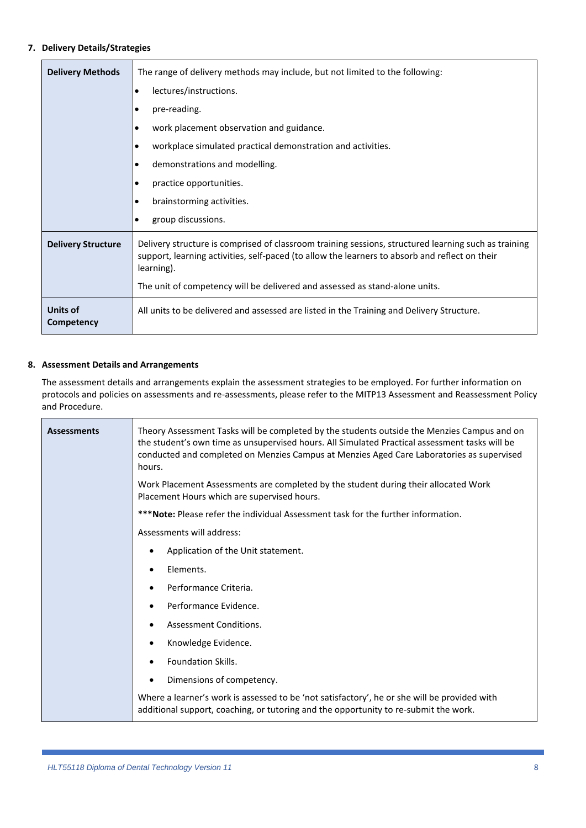#### <span id="page-7-0"></span>**7. Delivery Details/Strategies**

| <b>Delivery Methods</b>       | The range of delivery methods may include, but not limited to the following:                                                                                                                                         |  |  |  |  |
|-------------------------------|----------------------------------------------------------------------------------------------------------------------------------------------------------------------------------------------------------------------|--|--|--|--|
|                               | lectures/instructions.<br>$\bullet$                                                                                                                                                                                  |  |  |  |  |
|                               | pre-reading.                                                                                                                                                                                                         |  |  |  |  |
|                               | work placement observation and guidance.                                                                                                                                                                             |  |  |  |  |
|                               | workplace simulated practical demonstration and activities.                                                                                                                                                          |  |  |  |  |
|                               | demonstrations and modelling.                                                                                                                                                                                        |  |  |  |  |
|                               | practice opportunities.                                                                                                                                                                                              |  |  |  |  |
|                               | brainstorming activities.                                                                                                                                                                                            |  |  |  |  |
|                               | group discussions.                                                                                                                                                                                                   |  |  |  |  |
| <b>Delivery Structure</b>     | Delivery structure is comprised of classroom training sessions, structured learning such as training<br>support, learning activities, self-paced (to allow the learners to absorb and reflect on their<br>learning). |  |  |  |  |
|                               | The unit of competency will be delivered and assessed as stand-alone units.                                                                                                                                          |  |  |  |  |
| <b>Units of</b><br>Competency | All units to be delivered and assessed are listed in the Training and Delivery Structure.                                                                                                                            |  |  |  |  |

#### <span id="page-7-1"></span>**8. Assessment Details and Arrangements**

The assessment details and arrangements explain the assessment strategies to be employed. For further information on protocols and policies on assessments and re-assessments, please refer to the MITP13 Assessment and Reassessment Policy and Procedure.

| <b>Assessments</b> | Theory Assessment Tasks will be completed by the students outside the Menzies Campus and on<br>the student's own time as unsupervised hours. All Simulated Practical assessment tasks will be<br>conducted and completed on Menzies Campus at Menzies Aged Care Laboratories as supervised<br>hours. |  |  |  |  |
|--------------------|------------------------------------------------------------------------------------------------------------------------------------------------------------------------------------------------------------------------------------------------------------------------------------------------------|--|--|--|--|
|                    | Work Placement Assessments are completed by the student during their allocated Work<br>Placement Hours which are supervised hours.                                                                                                                                                                   |  |  |  |  |
|                    | ***Note: Please refer the individual Assessment task for the further information.                                                                                                                                                                                                                    |  |  |  |  |
|                    | Assessments will address:                                                                                                                                                                                                                                                                            |  |  |  |  |
|                    | Application of the Unit statement.                                                                                                                                                                                                                                                                   |  |  |  |  |
|                    | Elements.                                                                                                                                                                                                                                                                                            |  |  |  |  |
|                    | Performance Criteria.                                                                                                                                                                                                                                                                                |  |  |  |  |
|                    | Performance Evidence.                                                                                                                                                                                                                                                                                |  |  |  |  |
|                    | Assessment Conditions.                                                                                                                                                                                                                                                                               |  |  |  |  |
|                    | Knowledge Evidence.<br>٠                                                                                                                                                                                                                                                                             |  |  |  |  |
|                    | <b>Foundation Skills.</b>                                                                                                                                                                                                                                                                            |  |  |  |  |
|                    | Dimensions of competency.<br>$\bullet$                                                                                                                                                                                                                                                               |  |  |  |  |
|                    | Where a learner's work is assessed to be 'not satisfactory', he or she will be provided with<br>additional support, coaching, or tutoring and the opportunity to re-submit the work.                                                                                                                 |  |  |  |  |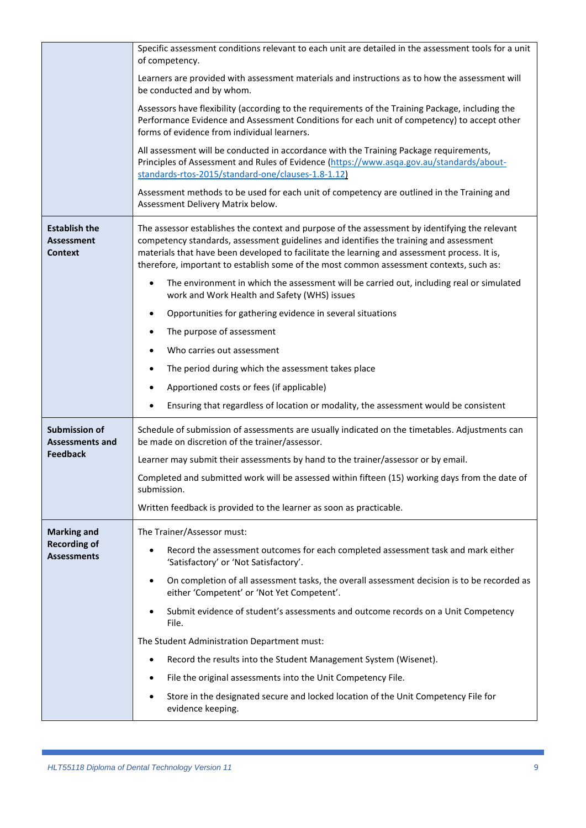|                                                             | Specific assessment conditions relevant to each unit are detailed in the assessment tools for a unit<br>of competency.                                                                                                                                                                                                                                                              |
|-------------------------------------------------------------|-------------------------------------------------------------------------------------------------------------------------------------------------------------------------------------------------------------------------------------------------------------------------------------------------------------------------------------------------------------------------------------|
|                                                             | Learners are provided with assessment materials and instructions as to how the assessment will<br>be conducted and by whom.                                                                                                                                                                                                                                                         |
|                                                             | Assessors have flexibility (according to the requirements of the Training Package, including the<br>Performance Evidence and Assessment Conditions for each unit of competency) to accept other<br>forms of evidence from individual learners.                                                                                                                                      |
|                                                             | All assessment will be conducted in accordance with the Training Package requirements,<br>Principles of Assessment and Rules of Evidence (https://www.asqa.gov.au/standards/about-<br>standards-rtos-2015/standard-one/clauses-1.8-1.12)                                                                                                                                            |
|                                                             | Assessment methods to be used for each unit of competency are outlined in the Training and<br>Assessment Delivery Matrix below.                                                                                                                                                                                                                                                     |
| <b>Establish the</b><br><b>Assessment</b><br><b>Context</b> | The assessor establishes the context and purpose of the assessment by identifying the relevant<br>competency standards, assessment guidelines and identifies the training and assessment<br>materials that have been developed to facilitate the learning and assessment process. It is,<br>therefore, important to establish some of the most common assessment contexts, such as: |
|                                                             | The environment in which the assessment will be carried out, including real or simulated<br>work and Work Health and Safety (WHS) issues                                                                                                                                                                                                                                            |
|                                                             | Opportunities for gathering evidence in several situations                                                                                                                                                                                                                                                                                                                          |
|                                                             | The purpose of assessment                                                                                                                                                                                                                                                                                                                                                           |
|                                                             | Who carries out assessment                                                                                                                                                                                                                                                                                                                                                          |
|                                                             | The period during which the assessment takes place                                                                                                                                                                                                                                                                                                                                  |
|                                                             | Apportioned costs or fees (if applicable)                                                                                                                                                                                                                                                                                                                                           |
|                                                             | Ensuring that regardless of location or modality, the assessment would be consistent                                                                                                                                                                                                                                                                                                |
| <b>Submission of</b><br><b>Assessments and</b>              | Schedule of submission of assessments are usually indicated on the timetables. Adjustments can<br>be made on discretion of the trainer/assessor.                                                                                                                                                                                                                                    |
| <b>Feedback</b>                                             | Learner may submit their assessments by hand to the trainer/assessor or by email.                                                                                                                                                                                                                                                                                                   |
|                                                             | Completed and submitted work will be assessed within fifteen (15) working days from the date of<br>submission.                                                                                                                                                                                                                                                                      |
|                                                             | Written feedback is provided to the learner as soon as practicable.                                                                                                                                                                                                                                                                                                                 |
| <b>Marking and</b>                                          | The Trainer/Assessor must:                                                                                                                                                                                                                                                                                                                                                          |
| <b>Recording of</b><br><b>Assessments</b>                   | Record the assessment outcomes for each completed assessment task and mark either<br>'Satisfactory' or 'Not Satisfactory'.                                                                                                                                                                                                                                                          |
|                                                             | On completion of all assessment tasks, the overall assessment decision is to be recorded as<br>$\bullet$<br>either 'Competent' or 'Not Yet Competent'.                                                                                                                                                                                                                              |
|                                                             | Submit evidence of student's assessments and outcome records on a Unit Competency<br>File.                                                                                                                                                                                                                                                                                          |
|                                                             | The Student Administration Department must:                                                                                                                                                                                                                                                                                                                                         |
|                                                             | Record the results into the Student Management System (Wisenet).                                                                                                                                                                                                                                                                                                                    |
|                                                             | File the original assessments into the Unit Competency File.                                                                                                                                                                                                                                                                                                                        |
|                                                             | Store in the designated secure and locked location of the Unit Competency File for<br>evidence keeping.                                                                                                                                                                                                                                                                             |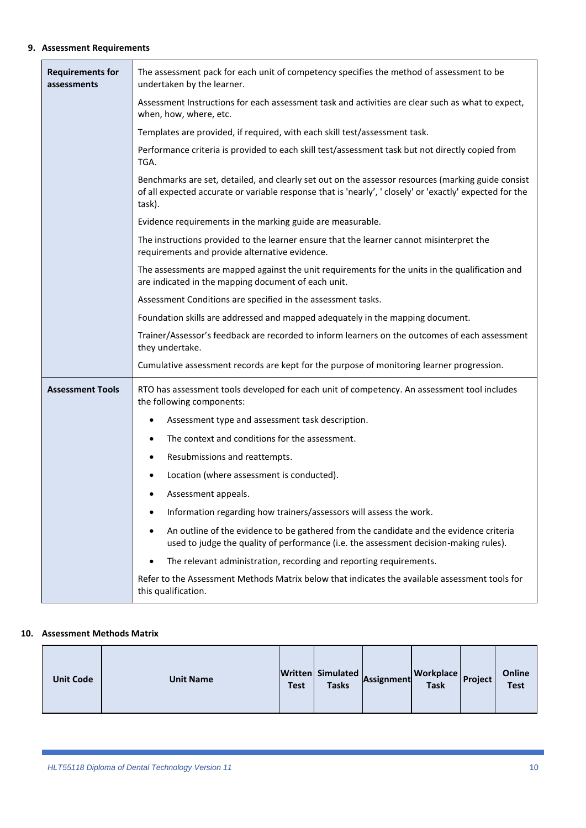#### <span id="page-9-0"></span>**9. Assessment Requirements**

| <b>Requirements for</b><br>assessments | The assessment pack for each unit of competency specifies the method of assessment to be<br>undertaken by the learner.                                                                                                   |  |  |  |  |  |  |  |  |  |
|----------------------------------------|--------------------------------------------------------------------------------------------------------------------------------------------------------------------------------------------------------------------------|--|--|--|--|--|--|--|--|--|
|                                        | Assessment Instructions for each assessment task and activities are clear such as what to expect,<br>when, how, where, etc.                                                                                              |  |  |  |  |  |  |  |  |  |
|                                        | Templates are provided, if required, with each skill test/assessment task.                                                                                                                                               |  |  |  |  |  |  |  |  |  |
|                                        | Performance criteria is provided to each skill test/assessment task but not directly copied from<br>TGA.                                                                                                                 |  |  |  |  |  |  |  |  |  |
|                                        | Benchmarks are set, detailed, and clearly set out on the assessor resources (marking guide consist<br>of all expected accurate or variable response that is 'nearly', ' closely' or 'exactly' expected for the<br>task). |  |  |  |  |  |  |  |  |  |
|                                        | Evidence requirements in the marking guide are measurable.                                                                                                                                                               |  |  |  |  |  |  |  |  |  |
|                                        | The instructions provided to the learner ensure that the learner cannot misinterpret the<br>requirements and provide alternative evidence.                                                                               |  |  |  |  |  |  |  |  |  |
|                                        | The assessments are mapped against the unit requirements for the units in the qualification and<br>are indicated in the mapping document of each unit.                                                                   |  |  |  |  |  |  |  |  |  |
|                                        | Assessment Conditions are specified in the assessment tasks.                                                                                                                                                             |  |  |  |  |  |  |  |  |  |
|                                        | Foundation skills are addressed and mapped adequately in the mapping document.                                                                                                                                           |  |  |  |  |  |  |  |  |  |
|                                        | Trainer/Assessor's feedback are recorded to inform learners on the outcomes of each assessment<br>they undertake.                                                                                                        |  |  |  |  |  |  |  |  |  |
|                                        | Cumulative assessment records are kept for the purpose of monitoring learner progression.                                                                                                                                |  |  |  |  |  |  |  |  |  |
| <b>Assessment Tools</b>                | RTO has assessment tools developed for each unit of competency. An assessment tool includes<br>the following components:                                                                                                 |  |  |  |  |  |  |  |  |  |
|                                        | Assessment type and assessment task description.                                                                                                                                                                         |  |  |  |  |  |  |  |  |  |
|                                        | The context and conditions for the assessment.                                                                                                                                                                           |  |  |  |  |  |  |  |  |  |
|                                        | Resubmissions and reattempts.                                                                                                                                                                                            |  |  |  |  |  |  |  |  |  |
|                                        | Location (where assessment is conducted).                                                                                                                                                                                |  |  |  |  |  |  |  |  |  |
|                                        | Assessment appeals.                                                                                                                                                                                                      |  |  |  |  |  |  |  |  |  |
|                                        | Information regarding how trainers/assessors will assess the work.<br>٠                                                                                                                                                  |  |  |  |  |  |  |  |  |  |
|                                        | An outline of the evidence to be gathered from the candidate and the evidence criteria<br>$\bullet$<br>used to judge the quality of performance (i.e. the assessment decision-making rules).                             |  |  |  |  |  |  |  |  |  |
|                                        | The relevant administration, recording and reporting requirements.                                                                                                                                                       |  |  |  |  |  |  |  |  |  |
|                                        | Refer to the Assessment Methods Matrix below that indicates the available assessment tools for<br>this qualification.                                                                                                    |  |  |  |  |  |  |  |  |  |

#### **10. Assessment Methods Matrix**

<span id="page-9-1"></span>

| <b>Unit Code</b><br><b>Unit Name</b> | <b>Test</b> | Written Simulated<br><b>Tasks</b> | Assignment | <b>Workplace</b><br><b>Task</b> | <b>Project</b> | Online<br><b>Test</b> |
|--------------------------------------|-------------|-----------------------------------|------------|---------------------------------|----------------|-----------------------|
|--------------------------------------|-------------|-----------------------------------|------------|---------------------------------|----------------|-----------------------|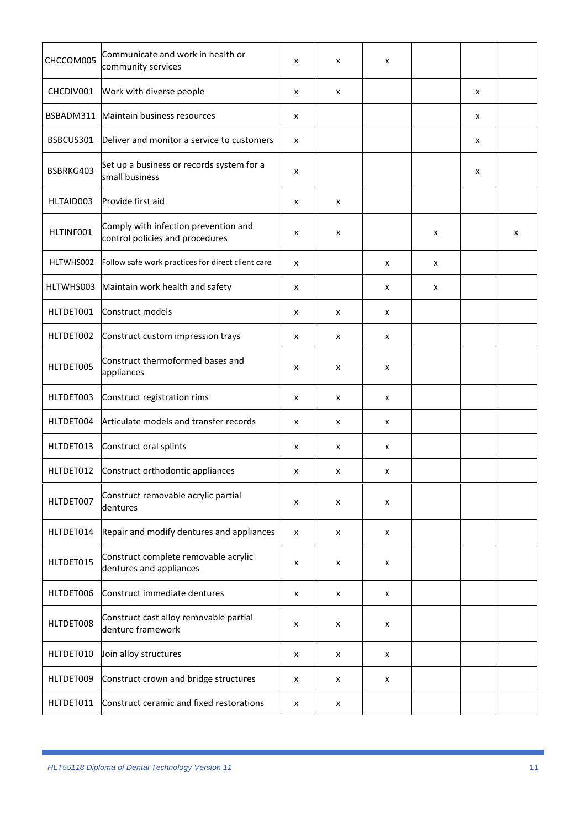| CHCCOM005 | Communicate and work in health or<br>community services                 | x | x | x |   |   |   |
|-----------|-------------------------------------------------------------------------|---|---|---|---|---|---|
| CHCDIV001 | Work with diverse people                                                | x | x |   |   | x |   |
| BSBADM311 | Maintain business resources                                             | x |   |   |   | x |   |
| BSBCUS301 | Deliver and monitor a service to customers                              | X |   |   |   | x |   |
| BSBRKG403 | Set up a business or records system for a<br>small business             | x |   |   |   | x |   |
| HLTAID003 | Provide first aid                                                       | x | x |   |   |   |   |
| HLTINF001 | Comply with infection prevention and<br>control policies and procedures | x | x |   | x |   | x |
| HLTWHS002 | Follow safe work practices for direct client care                       | x |   | x | x |   |   |
| HLTWHS003 | Maintain work health and safety                                         | x |   | x | x |   |   |
| HLTDET001 | Construct models                                                        | x | x | x |   |   |   |
| HLTDET002 | Construct custom impression trays                                       | x | x | x |   |   |   |
| HLTDET005 | Construct thermoformed bases and<br>appliances                          | x | x | x |   |   |   |
| HLTDET003 | Construct registration rims                                             | x | x | x |   |   |   |
| HLTDET004 | Articulate models and transfer records                                  | x | x | x |   |   |   |
| HLTDET013 | Construct oral splints                                                  | x | x | x |   |   |   |
| HLTDET012 | Construct orthodontic appliances                                        | x | x | x |   |   |   |
| HLTDET007 | Construct removable acrylic partial<br>dentures                         | x | x | x |   |   |   |
| HLTDET014 | Repair and modify dentures and appliances                               | x | x | x |   |   |   |
| HLTDET015 | Construct complete removable acrylic<br>dentures and appliances         | x | x | x |   |   |   |
| HLTDET006 | Construct immediate dentures                                            | x | X | X |   |   |   |
| HLTDET008 | Construct cast alloy removable partial<br>denture framework             | x | x | x |   |   |   |
| HLTDET010 | Join alloy structures                                                   | x | x | x |   |   |   |
| HLTDET009 | Construct crown and bridge structures                                   | x | x | x |   |   |   |
| HLTDET011 | Construct ceramic and fixed restorations                                | x | x |   |   |   |   |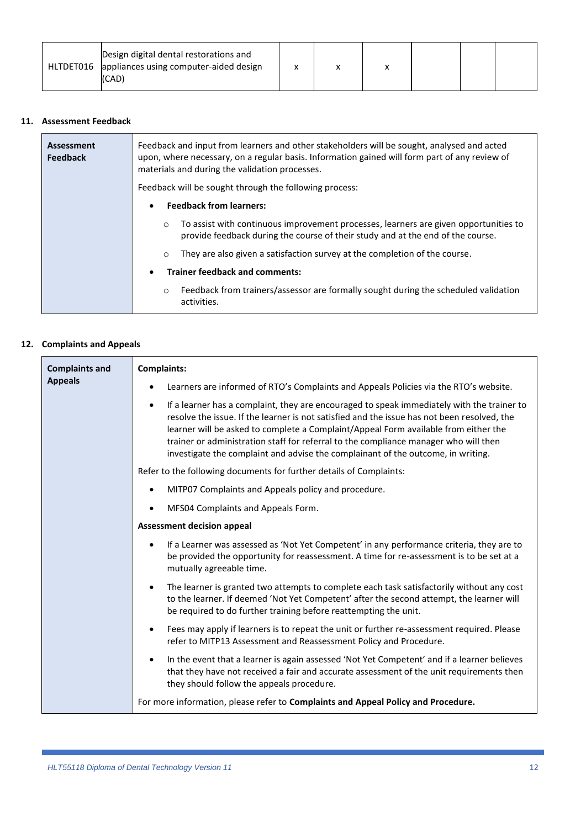#### **11. Assessment Feedback**

<span id="page-11-0"></span>

| Assessment<br><b>Feedback</b> | Feedback and input from learners and other stakeholders will be sought, analysed and acted<br>upon, where necessary, on a regular basis. Information gained will form part of any review of<br>materials and during the validation processes. |  |  |  |  |  |  |  |  |
|-------------------------------|-----------------------------------------------------------------------------------------------------------------------------------------------------------------------------------------------------------------------------------------------|--|--|--|--|--|--|--|--|
|                               | Feedback will be sought through the following process:                                                                                                                                                                                        |  |  |  |  |  |  |  |  |
|                               | <b>Feedback from learners:</b><br>$\bullet$                                                                                                                                                                                                   |  |  |  |  |  |  |  |  |
|                               | To assist with continuous improvement processes, learners are given opportunities to<br>$\circ$<br>provide feedback during the course of their study and at the end of the course.                                                            |  |  |  |  |  |  |  |  |
|                               | They are also given a satisfaction survey at the completion of the course.<br>$\circ$                                                                                                                                                         |  |  |  |  |  |  |  |  |
|                               | <b>Trainer feedback and comments:</b><br>$\bullet$                                                                                                                                                                                            |  |  |  |  |  |  |  |  |
|                               | Feedback from trainers/assessor are formally sought during the scheduled validation<br>$\circ$<br>activities.                                                                                                                                 |  |  |  |  |  |  |  |  |

#### **12. Complaints and Appeals**

<span id="page-11-1"></span>

| <b>Complaints and</b> | <b>Complaints:</b>                                                                                                                                                                                                                                                                                                                                                                                                                                                        |  |  |  |  |  |  |  |
|-----------------------|---------------------------------------------------------------------------------------------------------------------------------------------------------------------------------------------------------------------------------------------------------------------------------------------------------------------------------------------------------------------------------------------------------------------------------------------------------------------------|--|--|--|--|--|--|--|
| <b>Appeals</b>        | Learners are informed of RTO's Complaints and Appeals Policies via the RTO's website.                                                                                                                                                                                                                                                                                                                                                                                     |  |  |  |  |  |  |  |
|                       | If a learner has a complaint, they are encouraged to speak immediately with the trainer to<br>$\bullet$<br>resolve the issue. If the learner is not satisfied and the issue has not been resolved, the<br>learner will be asked to complete a Complaint/Appeal Form available from either the<br>trainer or administration staff for referral to the compliance manager who will then<br>investigate the complaint and advise the complainant of the outcome, in writing. |  |  |  |  |  |  |  |
|                       | Refer to the following documents for further details of Complaints:                                                                                                                                                                                                                                                                                                                                                                                                       |  |  |  |  |  |  |  |
|                       | MITP07 Complaints and Appeals policy and procedure.                                                                                                                                                                                                                                                                                                                                                                                                                       |  |  |  |  |  |  |  |
|                       | MFS04 Complaints and Appeals Form.                                                                                                                                                                                                                                                                                                                                                                                                                                        |  |  |  |  |  |  |  |
|                       | <b>Assessment decision appeal</b>                                                                                                                                                                                                                                                                                                                                                                                                                                         |  |  |  |  |  |  |  |
|                       | If a Learner was assessed as 'Not Yet Competent' in any performance criteria, they are to<br>$\bullet$<br>be provided the opportunity for reassessment. A time for re-assessment is to be set at a<br>mutually agreeable time.                                                                                                                                                                                                                                            |  |  |  |  |  |  |  |
|                       | The learner is granted two attempts to complete each task satisfactorily without any cost<br>$\bullet$<br>to the learner. If deemed 'Not Yet Competent' after the second attempt, the learner will<br>be required to do further training before reattempting the unit.                                                                                                                                                                                                    |  |  |  |  |  |  |  |
|                       | Fees may apply if learners is to repeat the unit or further re-assessment required. Please<br>$\bullet$<br>refer to MITP13 Assessment and Reassessment Policy and Procedure.                                                                                                                                                                                                                                                                                              |  |  |  |  |  |  |  |
|                       | In the event that a learner is again assessed 'Not Yet Competent' and if a learner believes<br>$\bullet$<br>that they have not received a fair and accurate assessment of the unit requirements then<br>they should follow the appeals procedure.                                                                                                                                                                                                                         |  |  |  |  |  |  |  |
|                       | For more information, please refer to Complaints and Appeal Policy and Procedure.                                                                                                                                                                                                                                                                                                                                                                                         |  |  |  |  |  |  |  |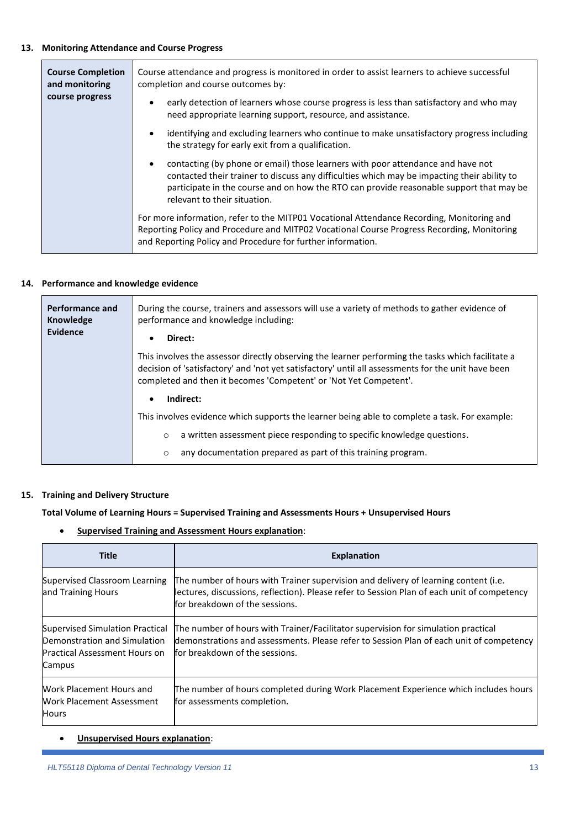#### **13. Monitoring Attendance and Course Progress**

<span id="page-12-0"></span>

| <b>Course Completion</b><br>and monitoring<br>course progress | Course attendance and progress is monitored in order to assist learners to achieve successful<br>completion and course outcomes by:                                                                                                                                                                                    |  |  |  |  |  |  |
|---------------------------------------------------------------|------------------------------------------------------------------------------------------------------------------------------------------------------------------------------------------------------------------------------------------------------------------------------------------------------------------------|--|--|--|--|--|--|
|                                                               | early detection of learners whose course progress is less than satisfactory and who may<br>need appropriate learning support, resource, and assistance.                                                                                                                                                                |  |  |  |  |  |  |
|                                                               | identifying and excluding learners who continue to make unsatisfactory progress including<br>$\bullet$<br>the strategy for early exit from a qualification.                                                                                                                                                            |  |  |  |  |  |  |
|                                                               | contacting (by phone or email) those learners with poor attendance and have not<br>$\bullet$<br>contacted their trainer to discuss any difficulties which may be impacting their ability to<br>participate in the course and on how the RTO can provide reasonable support that may be<br>relevant to their situation. |  |  |  |  |  |  |
|                                                               | For more information, refer to the MITP01 Vocational Attendance Recording, Monitoring and<br>Reporting Policy and Procedure and MITP02 Vocational Course Progress Recording, Monitoring<br>and Reporting Policy and Procedure for further information.                                                                 |  |  |  |  |  |  |

#### **14. Performance and knowledge evidence**

<span id="page-12-1"></span>

| Performance and<br>Knowledge<br>Evidence | During the course, trainers and assessors will use a variety of methods to gather evidence of<br>performance and knowledge including:<br>Direct:<br>٠                                                                                                                        |  |  |  |  |  |
|------------------------------------------|------------------------------------------------------------------------------------------------------------------------------------------------------------------------------------------------------------------------------------------------------------------------------|--|--|--|--|--|
|                                          | This involves the assessor directly observing the learner performing the tasks which facilitate a<br>decision of 'satisfactory' and 'not yet satisfactory' until all assessments for the unit have been<br>completed and then it becomes 'Competent' or 'Not Yet Competent'. |  |  |  |  |  |
|                                          | Indirect:<br>$\bullet$                                                                                                                                                                                                                                                       |  |  |  |  |  |
|                                          | This involves evidence which supports the learner being able to complete a task. For example:                                                                                                                                                                                |  |  |  |  |  |
|                                          | a written assessment piece responding to specific knowledge questions.<br>$\circ$                                                                                                                                                                                            |  |  |  |  |  |
|                                          | any documentation prepared as part of this training program.<br>$\circ$                                                                                                                                                                                                      |  |  |  |  |  |

#### **15. Training and Delivery Structure**

#### <span id="page-12-2"></span>**Total Volume of Learning Hours = Supervised Training and Assessments Hours + Unsupervised Hours**

#### • **Supervised Training and Assessment Hours explanation**:

| <b>Title</b>                                                                                                      | <b>Explanation</b>                                                                                                                                                                                                   |
|-------------------------------------------------------------------------------------------------------------------|----------------------------------------------------------------------------------------------------------------------------------------------------------------------------------------------------------------------|
| Supervised Classroom Learning<br>and Training Hours                                                               | The number of hours with Trainer supervision and delivery of learning content (i.e.<br>lectures, discussions, reflection). Please refer to Session Plan of each unit of competency<br>for breakdown of the sessions. |
| Supervised Simulation Practical<br>Demonstration and Simulation<br><b>Practical Assessment Hours on</b><br>Campus | The number of hours with Trainer/Facilitator supervision for simulation practical<br>demonstrations and assessments. Please refer to Session Plan of each unit of competency<br>for breakdown of the sessions.       |
| Work Placement Hours and<br>Work Placement Assessment<br>Hours                                                    | The number of hours completed during Work Placement Experience which includes hours<br>for assessments completion.                                                                                                   |

#### • **Unsupervised Hours explanation**: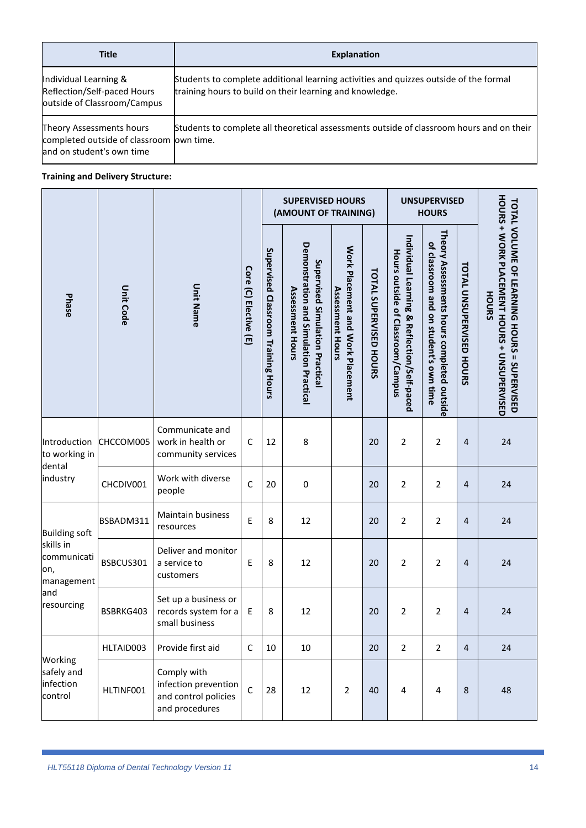| <b>Title</b>                                                                                      | <b>Explanation</b>                                                                                                                                |  |  |  |  |  |  |
|---------------------------------------------------------------------------------------------------|---------------------------------------------------------------------------------------------------------------------------------------------------|--|--|--|--|--|--|
| Individual Learning &<br>Reflection/Self-paced Hours<br>outside of Classroom/Campus               | Students to complete additional learning activities and quizzes outside of the formal<br>training hours to build on their learning and knowledge. |  |  |  |  |  |  |
| Theory Assessments hours<br>completed outside of classroom own time.<br>and on student's own time | Students to complete all theoretical assessments outside of classroom hours and on their                                                          |  |  |  |  |  |  |

#### **Training and Delivery Structure:**

|                                                                    |                  |                                                                               |                       | <b>SUPERVISED HOURS</b><br>(AMOUNT OF TRAINING) |                                                                                                     |                                                              |                               | <b>UNSUPERVISED</b><br><b>HOURS</b>                                              |                                                                                      |                                 |                                                                                                     |  |
|--------------------------------------------------------------------|------------------|-------------------------------------------------------------------------------|-----------------------|-------------------------------------------------|-----------------------------------------------------------------------------------------------------|--------------------------------------------------------------|-------------------------------|----------------------------------------------------------------------------------|--------------------------------------------------------------------------------------|---------------------------------|-----------------------------------------------------------------------------------------------------|--|
| Phase                                                              | <b>Unit Code</b> | <b>Unit Name</b>                                                              | Core (C) Elective (E) | Supervised Classroom Training Hours             | Demonstration and Simulation Practical<br>Supervised Simulation Practica<br><b>Assessment Hours</b> | Work Placement and Work Placement<br><b>Assessment Hours</b> | <b>TOTAL SUPERVISED HOURS</b> | Individual Learning & Reflection/Self-paced<br>Hours outside of Classroom/Campus | Theory Assessments hours completed outside<br>of classroom and on student's own time | <b>TOTAL UNSUPERVISED HOURS</b> | HOURS + WORK PLACEMENT HOURS + UNSUPERVISED<br>TOTAL VOLUME OF LEARNING HOURS = SUPERVISED<br>HOURS |  |
| Introduction<br>to working in<br>dental<br>industry                | CHCCOM005        | Communicate and<br>work in health or<br>community services                    | $\mathsf{C}$          | 12                                              | 8                                                                                                   |                                                              | 20                            | $\overline{2}$                                                                   | 2                                                                                    | $\overline{4}$                  | 24                                                                                                  |  |
|                                                                    | CHCDIV001        | Work with diverse<br>people                                                   | $\mathsf{C}$          | 20                                              | $\mathbf 0$                                                                                         |                                                              | 20                            | $\overline{2}$                                                                   | 2                                                                                    | 4                               | 24                                                                                                  |  |
| <b>Building soft</b>                                               | BSBADM311        | Maintain business<br>resources                                                | E                     | 8                                               | 12                                                                                                  |                                                              | 20                            | $\overline{2}$                                                                   | 2                                                                                    | $\overline{4}$                  | 24                                                                                                  |  |
| skills in<br>communicati<br>on,<br>management<br>and<br>resourcing | BSBCUS301        | Deliver and monitor<br>a service to<br>customers                              | E                     | 8                                               | 12                                                                                                  |                                                              | 20                            | 2                                                                                | 2                                                                                    | 4                               | 24                                                                                                  |  |
|                                                                    | BSBRKG403        | Set up a business or<br>records system for a<br>small business                | Ε                     | 8                                               | 12                                                                                                  |                                                              | 20                            | 2                                                                                | 2                                                                                    | 4                               | 24                                                                                                  |  |
|                                                                    | HLTAID003        | Provide first aid                                                             | $\mathsf C$           | 10                                              | 10                                                                                                  |                                                              | 20                            | $\overline{2}$                                                                   | $\overline{2}$                                                                       | $\overline{4}$                  | 24                                                                                                  |  |
| Working<br>safely and<br>infection<br>control                      | HLTINF001        | Comply with<br>infection prevention<br>and control policies<br>and procedures | $\mathsf{C}$          | 28                                              | 12                                                                                                  | $\overline{2}$                                               | 40                            | $\overline{4}$                                                                   | $\overline{4}$                                                                       | $\,8\,$                         | 48                                                                                                  |  |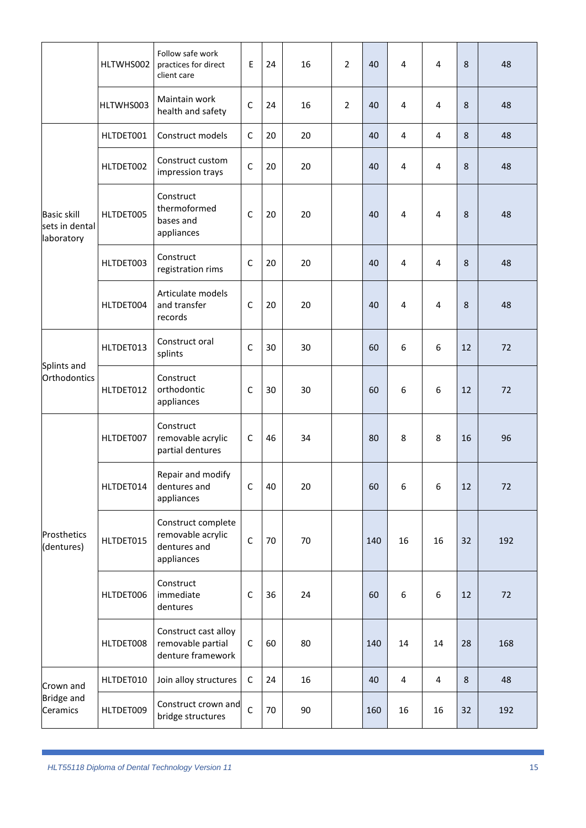|                                                    | HLTWHS002 | Follow safe work<br>practices for direct<br>client care               | E            | 24 | 16 | $\overline{2}$ | 40  | 4              | $\overline{4}$          | 8  | 48  |
|----------------------------------------------------|-----------|-----------------------------------------------------------------------|--------------|----|----|----------------|-----|----------------|-------------------------|----|-----|
|                                                    | HLTWHS003 | Maintain work<br>health and safety                                    | $\mathsf{C}$ | 24 | 16 | $\overline{2}$ | 40  | 4              | 4                       | 8  | 48  |
|                                                    | HLTDET001 | Construct models                                                      | C            | 20 | 20 |                | 40  | $\overline{4}$ | 4                       | 8  | 48  |
| <b>Basic skill</b><br>sets in dental<br>laboratory | HLTDET002 | Construct custom<br>impression trays                                  | $\mathsf{C}$ | 20 | 20 |                | 40  | 4              | 4                       | 8  | 48  |
|                                                    | HLTDET005 | Construct<br>thermoformed<br>bases and<br>appliances                  | $\mathsf{C}$ | 20 | 20 |                | 40  | 4              | 4                       | 8  | 48  |
|                                                    | HLTDET003 | Construct<br>registration rims                                        | C            | 20 | 20 |                | 40  | 4              | 4                       | 8  | 48  |
|                                                    | HLTDET004 | Articulate models<br>and transfer<br>records                          | $\mathsf{C}$ | 20 | 20 |                | 40  | 4              | 4                       | 8  | 48  |
|                                                    | HLTDET013 | Construct oral<br>splints                                             | $\mathsf{C}$ | 30 | 30 |                | 60  | 6              | 6                       | 12 | 72  |
| Splints and<br>Orthodontics                        | HLTDET012 | Construct<br>orthodontic<br>appliances                                | $\mathsf{C}$ | 30 | 30 |                | 60  | 6              | 6                       | 12 | 72  |
|                                                    | HLTDET007 | Construct<br>removable acrylic<br>partial dentures                    | C            | 46 | 34 |                | 80  | 8              | 8                       | 16 | 96  |
| Prosthetics<br>(dentures)                          | HLTDET014 | Repair and modify<br>dentures and<br>appliances                       | $\mathsf C$  | 40 | 20 |                | 60  | 6              | 6                       | 12 | 72  |
|                                                    | HLTDET015 | Construct complete<br>removable acrylic<br>dentures and<br>appliances | $\mathsf C$  | 70 | 70 |                | 140 | 16             | 16                      | 32 | 192 |
|                                                    | HLTDET006 | Construct<br>immediate<br>dentures                                    | $\mathsf C$  | 36 | 24 |                | 60  | 6              | 6                       | 12 | 72  |
|                                                    | HLTDET008 | Construct cast alloy<br>removable partial<br>denture framework        | $\mathsf C$  | 60 | 80 |                | 140 | 14             | 14                      | 28 | 168 |
| Crown and                                          | HLTDET010 | Join alloy structures                                                 | $\mathsf C$  | 24 | 16 |                | 40  | 4              | $\overline{\mathbf{4}}$ | 8  | 48  |
| <b>Bridge and</b><br>Ceramics                      | HLTDET009 | Construct crown and<br>bridge structures                              | $\mathsf{C}$ | 70 | 90 |                | 160 | 16             | 16                      | 32 | 192 |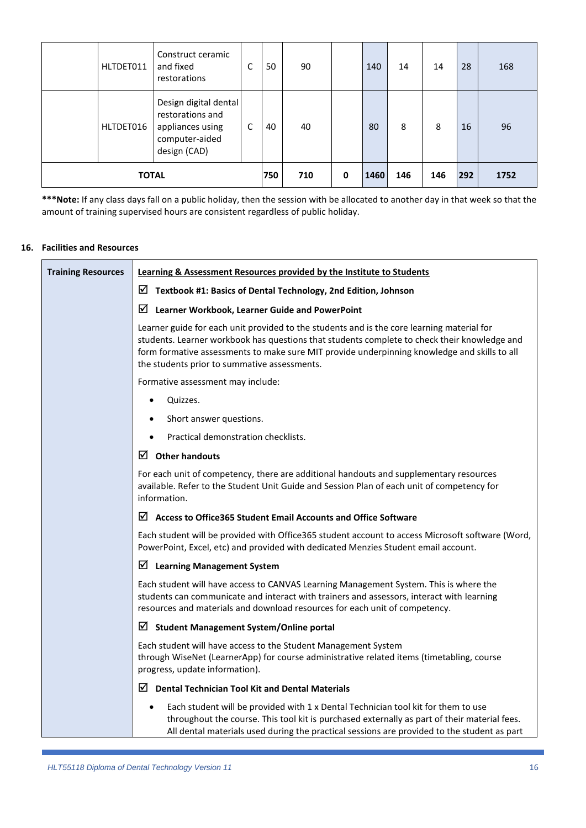|              | HLTDET011 | Construct ceramic<br>and fixed<br>restorations                                                  | C   | 50  | 90 |      | 140 | 14  | 14  | 28   | 168 |
|--------------|-----------|-------------------------------------------------------------------------------------------------|-----|-----|----|------|-----|-----|-----|------|-----|
|              | HLTDET016 | Design digital dental<br>restorations and<br>appliances using<br>computer-aided<br>design (CAD) | C   | 40  | 40 |      | 80  | 8   | 8   | 16   | 96  |
| <b>TOTAL</b> |           |                                                                                                 | 750 | 710 | 0  | 1460 | 146 | 146 | 292 | 1752 |     |

**\*\*\*Note:** If any class days fall on a public holiday, then the session with be allocated to another day in that week so that the amount of training supervised hours are consistent regardless of public holiday.

#### **16. Facilities and Resources**

<span id="page-15-0"></span>

| <b>Training Resources</b> | Learning & Assessment Resources provided by the Institute to Students                                                                                                                                                                                                                                                                      |
|---------------------------|--------------------------------------------------------------------------------------------------------------------------------------------------------------------------------------------------------------------------------------------------------------------------------------------------------------------------------------------|
|                           | ☑<br>Textbook #1: Basics of Dental Technology, 2nd Edition, Johnson                                                                                                                                                                                                                                                                        |
|                           | Learner Workbook, Learner Guide and PowerPoint<br>⊠                                                                                                                                                                                                                                                                                        |
|                           | Learner guide for each unit provided to the students and is the core learning material for<br>students. Learner workbook has questions that students complete to check their knowledge and<br>form formative assessments to make sure MIT provide underpinning knowledge and skills to all<br>the students prior to summative assessments. |
|                           | Formative assessment may include:                                                                                                                                                                                                                                                                                                          |
|                           | Quizzes.                                                                                                                                                                                                                                                                                                                                   |
|                           | Short answer questions.                                                                                                                                                                                                                                                                                                                    |
|                           | Practical demonstration checklists.                                                                                                                                                                                                                                                                                                        |
|                           | $\boxtimes$ Other handouts                                                                                                                                                                                                                                                                                                                 |
|                           | For each unit of competency, there are additional handouts and supplementary resources<br>available. Refer to the Student Unit Guide and Session Plan of each unit of competency for<br>information.                                                                                                                                       |
|                           | ☑<br><b>Access to Office365 Student Email Accounts and Office Software</b>                                                                                                                                                                                                                                                                 |
|                           | Each student will be provided with Office365 student account to access Microsoft software (Word,<br>PowerPoint, Excel, etc) and provided with dedicated Menzies Student email account.                                                                                                                                                     |
|                           | <b>Learning Management System</b><br>⊻                                                                                                                                                                                                                                                                                                     |
|                           | Each student will have access to CANVAS Learning Management System. This is where the<br>students can communicate and interact with trainers and assessors, interact with learning<br>resources and materials and download resources for each unit of competency.                                                                          |
|                           | ⊻<br><b>Student Management System/Online portal</b>                                                                                                                                                                                                                                                                                        |
|                           | Each student will have access to the Student Management System<br>through WiseNet (LearnerApp) for course administrative related items (timetabling, course<br>progress, update information).                                                                                                                                              |
|                           | ⊻<br><b>Dental Technician Tool Kit and Dental Materials</b>                                                                                                                                                                                                                                                                                |
|                           | Each student will be provided with 1 x Dental Technician tool kit for them to use<br>$\bullet$<br>throughout the course. This tool kit is purchased externally as part of their material fees.<br>All dental materials used during the practical sessions are provided to the student as part                                              |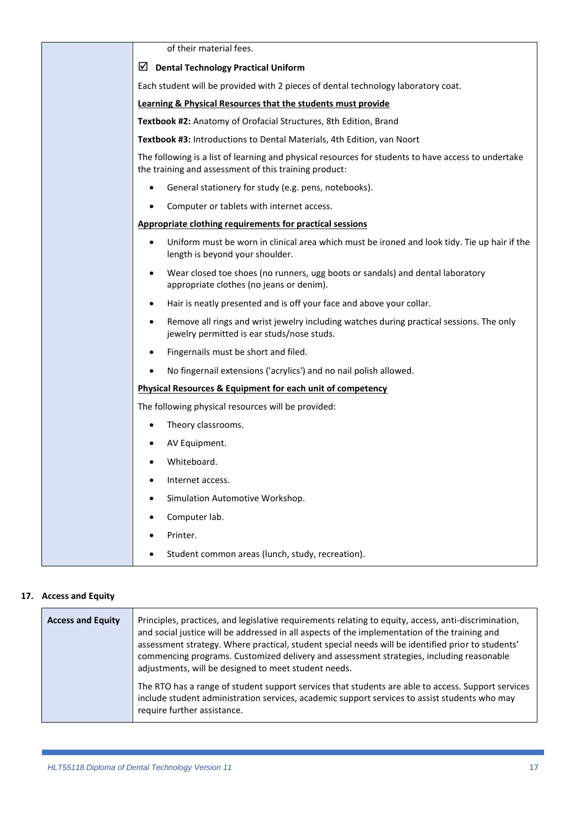| of their material fees.                                                                                                                                      |
|--------------------------------------------------------------------------------------------------------------------------------------------------------------|
| ⊻<br><b>Dental Technology Practical Uniform</b>                                                                                                              |
| Each student will be provided with 2 pieces of dental technology laboratory coat.                                                                            |
| Learning & Physical Resources that the students must provide                                                                                                 |
| Textbook #2: Anatomy of Orofacial Structures, 8th Edition, Brand                                                                                             |
| Textbook #3: Introductions to Dental Materials, 4th Edition, van Noort                                                                                       |
| The following is a list of learning and physical resources for students to have access to undertake<br>the training and assessment of this training product: |
| General stationery for study (e.g. pens, notebooks).                                                                                                         |
| Computer or tablets with internet access.                                                                                                                    |
| Appropriate clothing requirements for practical sessions                                                                                                     |
| Uniform must be worn in clinical area which must be ironed and look tidy. Tie up hair if the<br>length is beyond your shoulder.                              |
| Wear closed toe shoes (no runners, ugg boots or sandals) and dental laboratory<br>$\bullet$<br>appropriate clothes (no jeans or denim).                      |
| Hair is neatly presented and is off your face and above your collar.<br>$\bullet$                                                                            |
| Remove all rings and wrist jewelry including watches during practical sessions. The only<br>$\bullet$<br>jewelry permitted is ear studs/nose studs.          |
| Fingernails must be short and filed.<br>٠                                                                                                                    |
| No fingernail extensions ('acrylics') and no nail polish allowed.                                                                                            |
| Physical Resources & Equipment for each unit of competency                                                                                                   |
| The following physical resources will be provided:                                                                                                           |
| Theory classrooms.                                                                                                                                           |
| AV Equipment.                                                                                                                                                |
| Whiteboard.                                                                                                                                                  |
| Internet access.<br>٠                                                                                                                                        |
| Simulation Automotive Workshop.                                                                                                                              |
| Computer lab.                                                                                                                                                |
| Printer.                                                                                                                                                     |
| Student common areas (lunch, study, recreation).                                                                                                             |

#### **17. Access and Equity**

<span id="page-16-0"></span>

| <b>Access and Equity</b> | Principles, practices, and legislative requirements relating to equity, access, anti-discrimination,<br>and social justice will be addressed in all aspects of the implementation of the training and<br>assessment strategy. Where practical, student special needs will be identified prior to students'<br>commencing programs. Customized delivery and assessment strategies, including reasonable<br>adjustments, will be designed to meet student needs. |
|--------------------------|----------------------------------------------------------------------------------------------------------------------------------------------------------------------------------------------------------------------------------------------------------------------------------------------------------------------------------------------------------------------------------------------------------------------------------------------------------------|
|                          | The RTO has a range of student support services that students are able to access. Support services<br>include student administration services, academic support services to assist students who may<br>require further assistance.                                                                                                                                                                                                                             |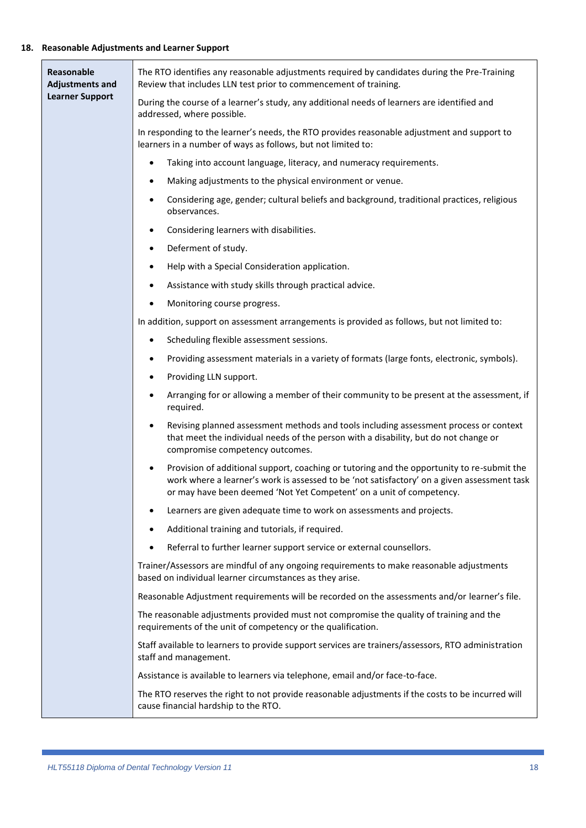#### **18. Reasonable Adjustments and Learner Support**

<span id="page-17-0"></span>

| Reasonable<br><b>Adjustments and</b> | The RTO identifies any reasonable adjustments required by candidates during the Pre-Training<br>Review that includes LLN test prior to commencement of training.                                                                                                               |  |  |  |  |  |  |
|--------------------------------------|--------------------------------------------------------------------------------------------------------------------------------------------------------------------------------------------------------------------------------------------------------------------------------|--|--|--|--|--|--|
| <b>Learner Support</b>               | During the course of a learner's study, any additional needs of learners are identified and<br>addressed, where possible.                                                                                                                                                      |  |  |  |  |  |  |
|                                      | In responding to the learner's needs, the RTO provides reasonable adjustment and support to<br>learners in a number of ways as follows, but not limited to:                                                                                                                    |  |  |  |  |  |  |
|                                      | Taking into account language, literacy, and numeracy requirements.<br>$\bullet$                                                                                                                                                                                                |  |  |  |  |  |  |
|                                      | Making adjustments to the physical environment or venue.<br>٠                                                                                                                                                                                                                  |  |  |  |  |  |  |
|                                      | Considering age, gender; cultural beliefs and background, traditional practices, religious<br>$\bullet$<br>observances.                                                                                                                                                        |  |  |  |  |  |  |
|                                      | Considering learners with disabilities.<br>$\bullet$                                                                                                                                                                                                                           |  |  |  |  |  |  |
|                                      | Deferment of study.<br>$\bullet$                                                                                                                                                                                                                                               |  |  |  |  |  |  |
|                                      | Help with a Special Consideration application.<br>$\bullet$                                                                                                                                                                                                                    |  |  |  |  |  |  |
|                                      | Assistance with study skills through practical advice.<br>٠                                                                                                                                                                                                                    |  |  |  |  |  |  |
|                                      | Monitoring course progress.<br>$\bullet$                                                                                                                                                                                                                                       |  |  |  |  |  |  |
|                                      | In addition, support on assessment arrangements is provided as follows, but not limited to:                                                                                                                                                                                    |  |  |  |  |  |  |
|                                      | Scheduling flexible assessment sessions.<br>$\bullet$                                                                                                                                                                                                                          |  |  |  |  |  |  |
|                                      | Providing assessment materials in a variety of formats (large fonts, electronic, symbols).<br>$\bullet$                                                                                                                                                                        |  |  |  |  |  |  |
|                                      | Providing LLN support.<br>٠                                                                                                                                                                                                                                                    |  |  |  |  |  |  |
|                                      | Arranging for or allowing a member of their community to be present at the assessment, if<br>$\bullet$<br>required.                                                                                                                                                            |  |  |  |  |  |  |
|                                      | Revising planned assessment methods and tools including assessment process or context<br>$\bullet$<br>that meet the individual needs of the person with a disability, but do not change or<br>compromise competency outcomes.                                                  |  |  |  |  |  |  |
|                                      | Provision of additional support, coaching or tutoring and the opportunity to re-submit the<br>$\bullet$<br>work where a learner's work is assessed to be 'not satisfactory' on a given assessment task<br>or may have been deemed 'Not Yet Competent' on a unit of competency. |  |  |  |  |  |  |
|                                      | Learners are given adequate time to work on assessments and projects.<br>$\bullet$                                                                                                                                                                                             |  |  |  |  |  |  |
|                                      | Additional training and tutorials, if required.                                                                                                                                                                                                                                |  |  |  |  |  |  |
|                                      | Referral to further learner support service or external counsellors.                                                                                                                                                                                                           |  |  |  |  |  |  |
|                                      | Trainer/Assessors are mindful of any ongoing requirements to make reasonable adjustments<br>based on individual learner circumstances as they arise.                                                                                                                           |  |  |  |  |  |  |
|                                      | Reasonable Adjustment requirements will be recorded on the assessments and/or learner's file.                                                                                                                                                                                  |  |  |  |  |  |  |
|                                      | The reasonable adjustments provided must not compromise the quality of training and the<br>requirements of the unit of competency or the qualification.                                                                                                                        |  |  |  |  |  |  |
|                                      | Staff available to learners to provide support services are trainers/assessors, RTO administration<br>staff and management.                                                                                                                                                    |  |  |  |  |  |  |
|                                      | Assistance is available to learners via telephone, email and/or face-to-face.                                                                                                                                                                                                  |  |  |  |  |  |  |
|                                      | The RTO reserves the right to not provide reasonable adjustments if the costs to be incurred will<br>cause financial hardship to the RTO.                                                                                                                                      |  |  |  |  |  |  |